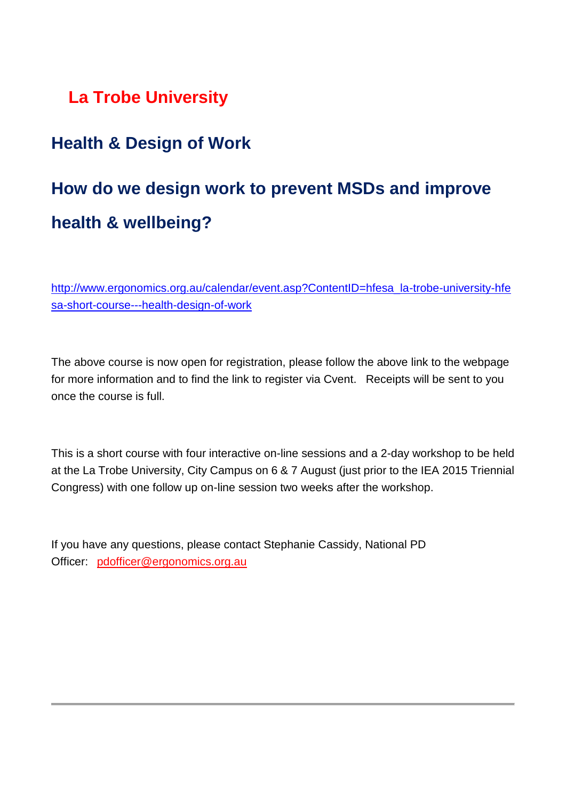## **La Trobe University**

### **Health & Design of Work**

# **How do we design work to prevent MSDs and improve health & wellbeing?**

[http://www.ergonomics.org.au/calendar/event.asp?ContentID=hfesa\\_la-trobe-university-hfe](http://www.ergonomics.org.au/calendar/event.asp?ContentID=hfesa_la-trobe-university-hfesa-short-course---health-design-of-work) [sa-short-course---health-design-of-work](http://www.ergonomics.org.au/calendar/event.asp?ContentID=hfesa_la-trobe-university-hfesa-short-course---health-design-of-work)

The above course is now open for registration, please follow the above link to the webpage for more information and to find the link to register via Cvent. Receipts will be sent to you once the course is full.

This is a short course with four interactive on-line sessions and a 2-day workshop to be held at the La Trobe University, City Campus on 6 & 7 August (just prior to the IEA 2015 Triennial Congress) with one follow up on-line session two weeks after the workshop.

If you have any questions, please contact Stephanie Cassidy, National PD Officer: pdofficer@ergonomics.org.au